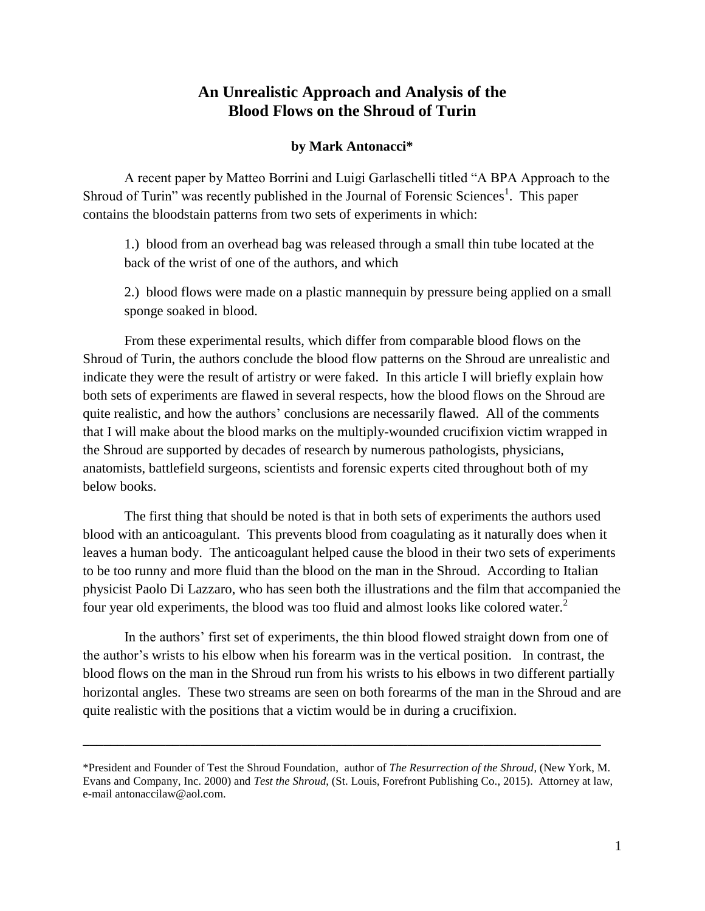## **An Unrealistic Approach and Analysis of the Blood Flows on the Shroud of Turin**

## **by Mark Antonacci\***

A recent paper by Matteo Borrini and Luigi Garlaschelli titled "A BPA Approach to the Shroud of Turin" was recently published in the Journal of Forensic Sciences<sup>1</sup>. This paper contains the bloodstain patterns from two sets of experiments in which:

1.) blood from an overhead bag was released through a small thin tube located at the back of the wrist of one of the authors, and which

2.) blood flows were made on a plastic mannequin by pressure being applied on a small sponge soaked in blood.

From these experimental results, which differ from comparable blood flows on the Shroud of Turin, the authors conclude the blood flow patterns on the Shroud are unrealistic and indicate they were the result of artistry or were faked. In this article I will briefly explain how both sets of experiments are flawed in several respects, how the blood flows on the Shroud are quite realistic, and how the authors' conclusions are necessarily flawed. All of the comments that I will make about the blood marks on the multiply-wounded crucifixion victim wrapped in the Shroud are supported by decades of research by numerous pathologists, physicians, anatomists, battlefield surgeons, scientists and forensic experts cited throughout both of my below books.

The first thing that should be noted is that in both sets of experiments the authors used blood with an anticoagulant. This prevents blood from coagulating as it naturally does when it leaves a human body. The anticoagulant helped cause the blood in their two sets of experiments to be too runny and more fluid than the blood on the man in the Shroud. According to Italian physicist Paolo Di Lazzaro, who has seen both the illustrations and the film that accompanied the four year old experiments, the blood was too fluid and almost looks like colored water.<sup>2</sup>

In the authors' first set of experiments, the thin blood flowed straight down from one of the author's wrists to his elbow when his forearm was in the vertical position. In contrast, the blood flows on the man in the Shroud run from his wrists to his elbows in two different partially horizontal angles. These two streams are seen on both forearms of the man in the Shroud and are quite realistic with the positions that a victim would be in during a crucifixion.

\_\_\_\_\_\_\_\_\_\_\_\_\_\_\_\_\_\_\_\_\_\_\_\_\_\_\_\_\_\_\_\_\_\_\_\_\_\_\_\_\_\_\_\_\_\_\_\_\_\_\_\_\_\_\_\_\_\_\_\_\_\_\_\_\_\_\_\_\_\_\_\_\_\_\_

<sup>\*</sup>President and Founder of Test the Shroud Foundation, author of *The Resurrection of the Shroud*, (New York, M. Evans and Company, Inc. 2000) and *Test the Shroud*, (St. Louis, Forefront Publishing Co., 2015). Attorney at law, e-mail antonaccilaw@aol.com.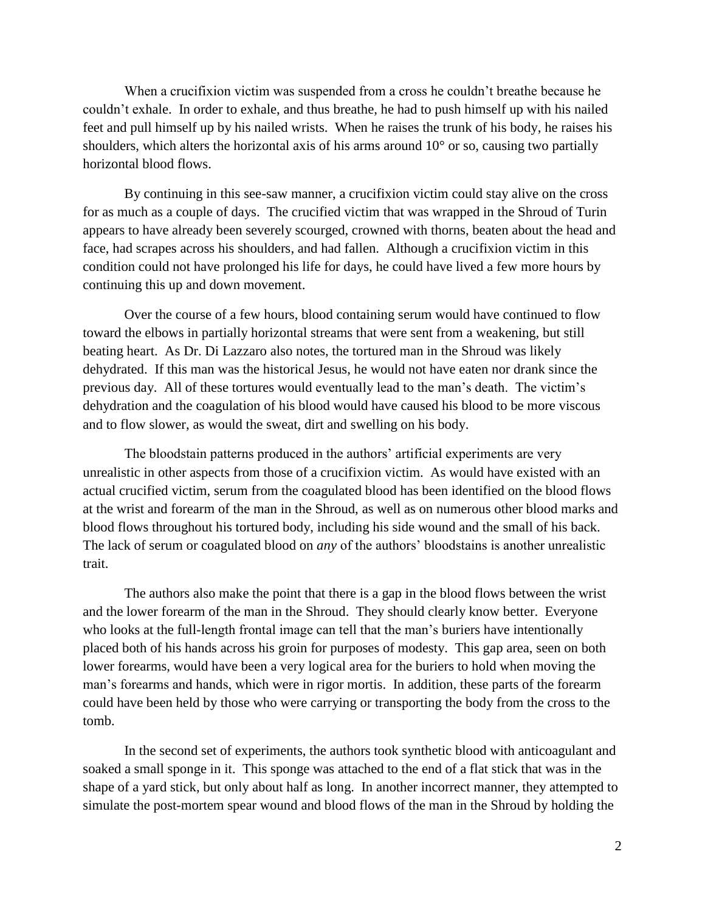When a crucifixion victim was suspended from a cross he couldn't breathe because he couldn't exhale. In order to exhale, and thus breathe, he had to push himself up with his nailed feet and pull himself up by his nailed wrists. When he raises the trunk of his body, he raises his shoulders, which alters the horizontal axis of his arms around 10° or so, causing two partially horizontal blood flows.

By continuing in this see-saw manner, a crucifixion victim could stay alive on the cross for as much as a couple of days. The crucified victim that was wrapped in the Shroud of Turin appears to have already been severely scourged, crowned with thorns, beaten about the head and face, had scrapes across his shoulders, and had fallen. Although a crucifixion victim in this condition could not have prolonged his life for days, he could have lived a few more hours by continuing this up and down movement.

Over the course of a few hours, blood containing serum would have continued to flow toward the elbows in partially horizontal streams that were sent from a weakening, but still beating heart. As Dr. Di Lazzaro also notes, the tortured man in the Shroud was likely dehydrated. If this man was the historical Jesus, he would not have eaten nor drank since the previous day. All of these tortures would eventually lead to the man's death. The victim's dehydration and the coagulation of his blood would have caused his blood to be more viscous and to flow slower, as would the sweat, dirt and swelling on his body.

The bloodstain patterns produced in the authors' artificial experiments are very unrealistic in other aspects from those of a crucifixion victim. As would have existed with an actual crucified victim, serum from the coagulated blood has been identified on the blood flows at the wrist and forearm of the man in the Shroud, as well as on numerous other blood marks and blood flows throughout his tortured body, including his side wound and the small of his back. The lack of serum or coagulated blood on *any* of the authors' bloodstains is another unrealistic trait.

The authors also make the point that there is a gap in the blood flows between the wrist and the lower forearm of the man in the Shroud. They should clearly know better. Everyone who looks at the full-length frontal image can tell that the man's buriers have intentionally placed both of his hands across his groin for purposes of modesty. This gap area, seen on both lower forearms, would have been a very logical area for the buriers to hold when moving the man's forearms and hands, which were in rigor mortis. In addition, these parts of the forearm could have been held by those who were carrying or transporting the body from the cross to the tomb.

In the second set of experiments, the authors took synthetic blood with anticoagulant and soaked a small sponge in it. This sponge was attached to the end of a flat stick that was in the shape of a yard stick, but only about half as long. In another incorrect manner, they attempted to simulate the post-mortem spear wound and blood flows of the man in the Shroud by holding the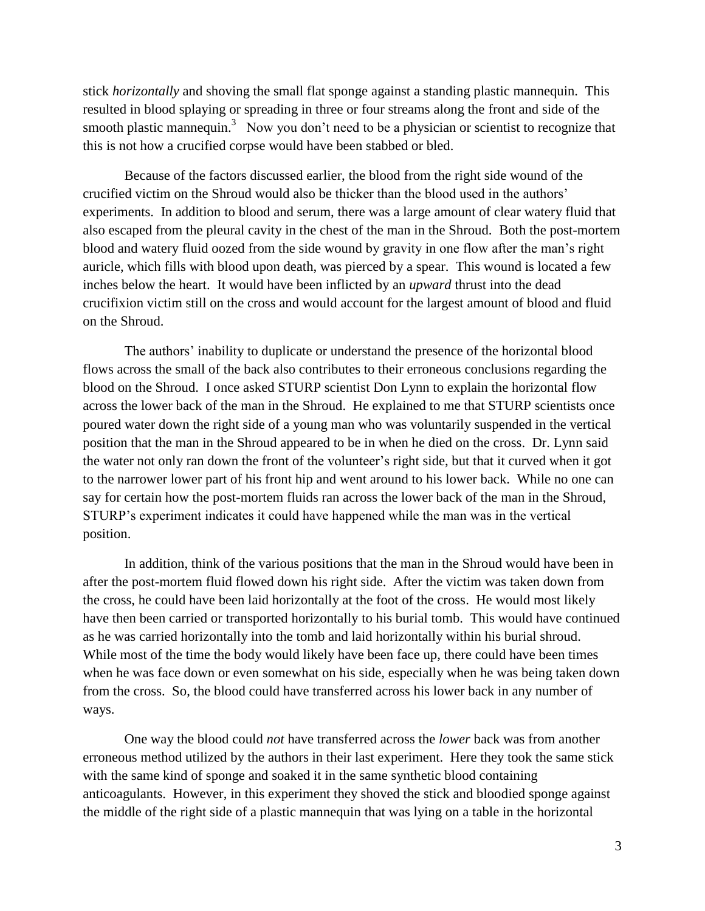stick *horizontally* and shoving the small flat sponge against a standing plastic mannequin. This resulted in blood splaying or spreading in three or four streams along the front and side of the smooth plastic mannequin.<sup>3</sup> Now you don't need to be a physician or scientist to recognize that this is not how a crucified corpse would have been stabbed or bled.

Because of the factors discussed earlier, the blood from the right side wound of the crucified victim on the Shroud would also be thicker than the blood used in the authors' experiments. In addition to blood and serum, there was a large amount of clear watery fluid that also escaped from the pleural cavity in the chest of the man in the Shroud. Both the post-mortem blood and watery fluid oozed from the side wound by gravity in one flow after the man's right auricle, which fills with blood upon death, was pierced by a spear. This wound is located a few inches below the heart. It would have been inflicted by an *upward* thrust into the dead crucifixion victim still on the cross and would account for the largest amount of blood and fluid on the Shroud.

The authors' inability to duplicate or understand the presence of the horizontal blood flows across the small of the back also contributes to their erroneous conclusions regarding the blood on the Shroud. I once asked STURP scientist Don Lynn to explain the horizontal flow across the lower back of the man in the Shroud. He explained to me that STURP scientists once poured water down the right side of a young man who was voluntarily suspended in the vertical position that the man in the Shroud appeared to be in when he died on the cross. Dr. Lynn said the water not only ran down the front of the volunteer's right side, but that it curved when it got to the narrower lower part of his front hip and went around to his lower back. While no one can say for certain how the post-mortem fluids ran across the lower back of the man in the Shroud, STURP's experiment indicates it could have happened while the man was in the vertical position.

In addition, think of the various positions that the man in the Shroud would have been in after the post-mortem fluid flowed down his right side. After the victim was taken down from the cross, he could have been laid horizontally at the foot of the cross. He would most likely have then been carried or transported horizontally to his burial tomb. This would have continued as he was carried horizontally into the tomb and laid horizontally within his burial shroud. While most of the time the body would likely have been face up, there could have been times when he was face down or even somewhat on his side, especially when he was being taken down from the cross. So, the blood could have transferred across his lower back in any number of ways.

One way the blood could *not* have transferred across the *lower* back was from another erroneous method utilized by the authors in their last experiment. Here they took the same stick with the same kind of sponge and soaked it in the same synthetic blood containing anticoagulants. However, in this experiment they shoved the stick and bloodied sponge against the middle of the right side of a plastic mannequin that was lying on a table in the horizontal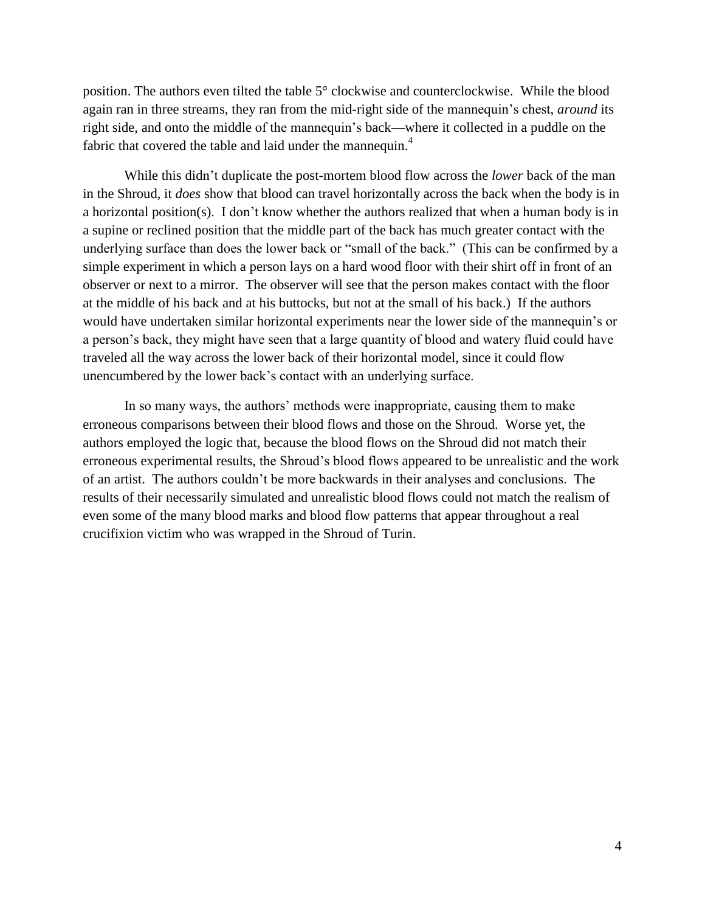position. The authors even tilted the table 5° clockwise and counterclockwise. While the blood again ran in three streams, they ran from the mid-right side of the mannequin's chest, *around* its right side, and onto the middle of the mannequin's back—where it collected in a puddle on the fabric that covered the table and laid under the mannequin.<sup>4</sup>

While this didn't duplicate the post-mortem blood flow across the *lower* back of the man in the Shroud, it *does* show that blood can travel horizontally across the back when the body is in a horizontal position(s). I don't know whether the authors realized that when a human body is in a supine or reclined position that the middle part of the back has much greater contact with the underlying surface than does the lower back or "small of the back." (This can be confirmed by a simple experiment in which a person lays on a hard wood floor with their shirt off in front of an observer or next to a mirror. The observer will see that the person makes contact with the floor at the middle of his back and at his buttocks, but not at the small of his back.) If the authors would have undertaken similar horizontal experiments near the lower side of the mannequin's or a person's back, they might have seen that a large quantity of blood and watery fluid could have traveled all the way across the lower back of their horizontal model, since it could flow unencumbered by the lower back's contact with an underlying surface.

In so many ways, the authors' methods were inappropriate, causing them to make erroneous comparisons between their blood flows and those on the Shroud. Worse yet, the authors employed the logic that, because the blood flows on the Shroud did not match their erroneous experimental results, the Shroud's blood flows appeared to be unrealistic and the work of an artist. The authors couldn't be more backwards in their analyses and conclusions. The results of their necessarily simulated and unrealistic blood flows could not match the realism of even some of the many blood marks and blood flow patterns that appear throughout a real crucifixion victim who was wrapped in the Shroud of Turin.